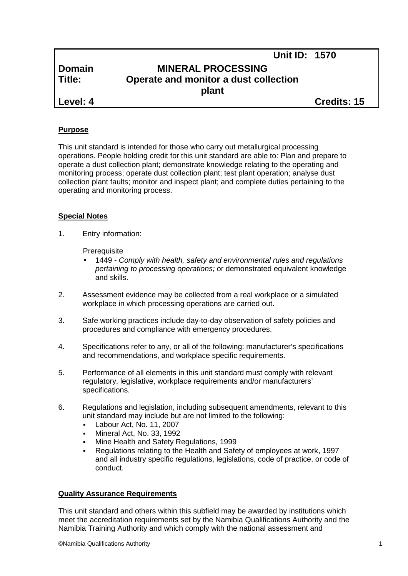|               | <b>Unit ID: 1570</b>                  |  |
|---------------|---------------------------------------|--|
| <b>Domain</b> | <b>MINERAL PROCESSING</b>             |  |
| Title:        | Operate and monitor a dust collection |  |
|               | plant                                 |  |
| Level: 4      | Credits: 15                           |  |

# **Purpose**

This unit standard is intended for those who carry out metallurgical processing operations. People holding credit for this unit standard are able to: Plan and prepare to operate a dust collection plant; demonstrate knowledge relating to the operating and monitoring process; operate dust collection plant; test plant operation; analyse dust collection plant faults; monitor and inspect plant; and complete duties pertaining to the operating and monitoring process.

# **Special Notes**

1. Entry information:

**Prerequisite** 

- 1449 *- Comply with health, safety and environmental rules and regulations pertaining to processing operations;* or demonstrated equivalent knowledge and skills.
- 2. Assessment evidence may be collected from a real workplace or a simulated workplace in which processing operations are carried out.
- 3. Safe working practices include day-to-day observation of safety policies and procedures and compliance with emergency procedures.
- 4. Specifications refer to any, or all of the following: manufacturer's specifications and recommendations, and workplace specific requirements.
- 5. Performance of all elements in this unit standard must comply with relevant regulatory, legislative, workplace requirements and/or manufacturers' specifications.
- 6. Regulations and legislation, including subsequent amendments, relevant to this unit standard may include but are not limited to the following:
	- Labour Act, No. 11, 2007
	- Mineral Act, No. 33, 1992
	- Mine Health and Safety Regulations, 1999
	- Regulations relating to the Health and Safety of employees at work, 1997 and all industry specific regulations, legislations, code of practice, or code of conduct.

# **Quality Assurance Requirements**

This unit standard and others within this subfield may be awarded by institutions which meet the accreditation requirements set by the Namibia Qualifications Authority and the Namibia Training Authority and which comply with the national assessment and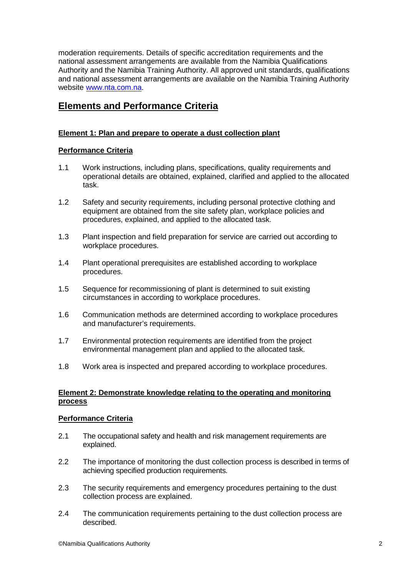moderation requirements. Details of specific accreditation requirements and the national assessment arrangements are available from the Namibia Qualifications Authority and the Namibia Training Authority. All approved unit standards, qualifications and national assessment arrangements are available on the Namibia Training Authority website www.nta.com.na.

# **Elements and Performance Criteria**

# **Element 1: Plan and prepare to operate a dust collection plant**

# **Performance Criteria**

- 1.1 Work instructions, including plans, specifications, quality requirements and operational details are obtained, explained, clarified and applied to the allocated task.
- 1.2 Safety and security requirements, including personal protective clothing and equipment are obtained from the site safety plan, workplace policies and procedures, explained, and applied to the allocated task.
- 1.3 Plant inspection and field preparation for service are carried out according to workplace procedures.
- 1.4 Plant operational prerequisites are established according to workplace procedures.
- 1.5 Sequence for recommissioning of plant is determined to suit existing circumstances in according to workplace procedures.
- 1.6 Communication methods are determined according to workplace procedures and manufacturer's requirements.
- 1.7 Environmental protection requirements are identified from the project environmental management plan and applied to the allocated task.
- 1.8 Work area is inspected and prepared according to workplace procedures.

## **Element 2: Demonstrate knowledge relating to the operating and monitoring process**

# **Performance Criteria**

- 2.1 The occupational safety and health and risk management requirements are explained.
- 2.2 The importance of monitoring the dust collection process is described in terms of achieving specified production requirements.
- 2.3 The security requirements and emergency procedures pertaining to the dust collection process are explained.
- 2.4 The communication requirements pertaining to the dust collection process are described.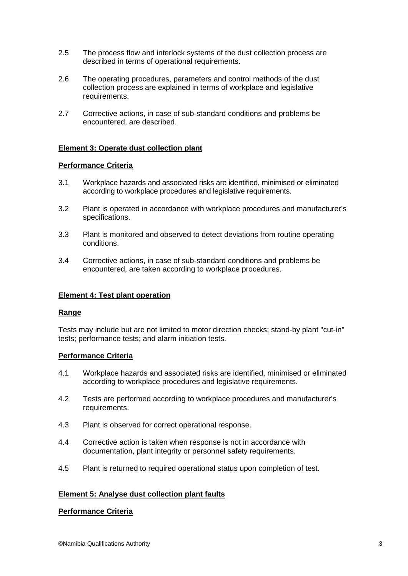- 2.5 The process flow and interlock systems of the dust collection process are described in terms of operational requirements.
- 2.6 The operating procedures, parameters and control methods of the dust collection process are explained in terms of workplace and legislative requirements.
- 2.7 Corrective actions, in case of sub-standard conditions and problems be encountered, are described.

# **Element 3: Operate dust collection plant**

## **Performance Criteria**

- 3.1 Workplace hazards and associated risks are identified, minimised or eliminated according to workplace procedures and legislative requirements.
- 3.2 Plant is operated in accordance with workplace procedures and manufacturer's specifications.
- 3.3 Plant is monitored and observed to detect deviations from routine operating conditions.
- 3.4 Corrective actions, in case of sub-standard conditions and problems be encountered, are taken according to workplace procedures.

#### **Element 4: Test plant operation**

#### **Range**

Tests may include but are not limited to motor direction checks; stand-by plant "cut-in" tests; performance tests; and alarm initiation tests.

## **Performance Criteria**

- 4.1 Workplace hazards and associated risks are identified, minimised or eliminated according to workplace procedures and legislative requirements.
- 4.2 Tests are performed according to workplace procedures and manufacturer's requirements.
- 4.3 Plant is observed for correct operational response.
- 4.4 Corrective action is taken when response is not in accordance with documentation, plant integrity or personnel safety requirements.
- 4.5 Plant is returned to required operational status upon completion of test.

# **Element 5: Analyse dust collection plant faults**

#### **Performance Criteria**